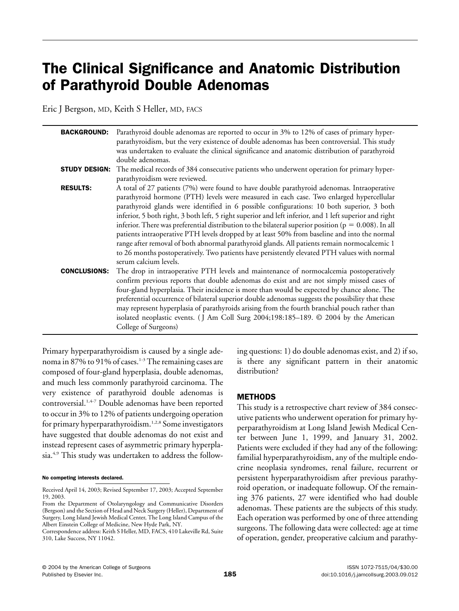# The Clinical Significance and Anatomic Distribution of Parathyroid Double Adenomas

Eric J Bergson, MD, Keith S Heller, MD, FACS

| <b>BACKGROUND:</b>   | Parathyroid double adenomas are reported to occur in 3% to 12% of cases of primary hyper-<br>parathyroidism, but the very existence of double adenomas has been controversial. This study<br>was undertaken to evaluate the clinical significance and anatomic distribution of parathyroid<br>double adenomas.                                                                                                                                                                                                                                                                                                                                                                                                                                                                                                                    |
|----------------------|-----------------------------------------------------------------------------------------------------------------------------------------------------------------------------------------------------------------------------------------------------------------------------------------------------------------------------------------------------------------------------------------------------------------------------------------------------------------------------------------------------------------------------------------------------------------------------------------------------------------------------------------------------------------------------------------------------------------------------------------------------------------------------------------------------------------------------------|
| <b>STUDY DESIGN:</b> | The medical records of 384 consecutive patients who underwent operation for primary hyper-<br>parathyroidism were reviewed.                                                                                                                                                                                                                                                                                                                                                                                                                                                                                                                                                                                                                                                                                                       |
| <b>RESULTS:</b>      | A total of 27 patients (7%) were found to have double parathyroid adenomas. Intraoperative<br>parathyroid hormone (PTH) levels were measured in each case. Two enlarged hypercellular<br>parathyroid glands were identified in 6 possible configurations: 10 both superior, 3 both<br>inferior, 5 both right, 3 both left, 5 right superior and left inferior, and 1 left superior and right<br>inferior. There was preferential distribution to the bilateral superior position ( $p = 0.008$ ). In all<br>patients intraoperative PTH levels dropped by at least 50% from baseline and into the normal<br>range after removal of both abnormal parathyroid glands. All patients remain normocalcemic 1<br>to 26 months postoperatively. Two patients have persistently elevated PTH values with normal<br>serum calcium levels. |
| <b>CONCLUSIONS:</b>  | The drop in intraoperative PTH levels and maintenance of normocalcemia postoperatively<br>confirm previous reports that double adenomas do exist and are not simply missed cases of<br>four-gland hyperplasia. Their incidence is more than would be expected by chance alone. The<br>preferential occurrence of bilateral superior double adenomas suggests the possibility that these<br>may represent hyperplasia of parathyroids arising from the fourth branchial pouch rather than<br>isolated neoplastic events. (J Am Coll Surg 2004;198:185-189. © 2004 by the American<br>College of Surgeons)                                                                                                                                                                                                                          |

Primary hyperparathyroidism is caused by a single adenoma in 87% to 91% of cases.<sup>1-3</sup> The remaining cases are composed of four-gland hyperplasia, double adenomas, and much less commonly parathyroid carcinoma. The very existence of parathyroid double adenomas is controversial.<sup>1,4-7</sup> Double adenomas have been reported to occur in 3% to 12% of patients undergoing operation for primary hyperparathyroidism.<sup>1,2,8</sup> Some investigators have suggested that double adenomas do not exist and instead represent cases of asymmetric primary hyperplasia.<sup>4,9</sup> This study was undertaken to address the following questions: 1) do double adenomas exist, and 2) if so, is there any significant pattern in their anatomic distribution?

## METHODS

This study is a retrospective chart review of 384 consecutive patients who underwent operation for primary hyperparathyroidism at Long Island Jewish Medical Center between June 1, 1999, and January 31, 2002. Patients were excluded if they had any of the following: familial hyperparathyroidism, any of the multiple endocrine neoplasia syndromes, renal failure, recurrent or persistent hyperparathyroidism after previous parathyroid operation, or inadequate followup. Of the remaining 376 patients, 27 were identified who had double adenomas. These patients are the subjects of this study. Each operation was performed by one of three attending surgeons. The following data were collected: age at time of operation, gender, preoperative calcium and parathy-

No competing interests declared.

Received April 14, 2003; Revised September 17, 2003; Accepted September 19, 2003.

From the Department of Otolaryngology and Communicative Disorders (Bergson) and the Section of Head and Neck Surgery (Heller), Department of Surgery, Long Island Jewish Medical Center, The Long Island Campus of the Albert Einstein College of Medicine, New Hyde Park, NY.

Correspondence address: Keith S Heller, MD, FACS, 410 Lakeville Rd, Suite 310, Lake Success, NY 11042.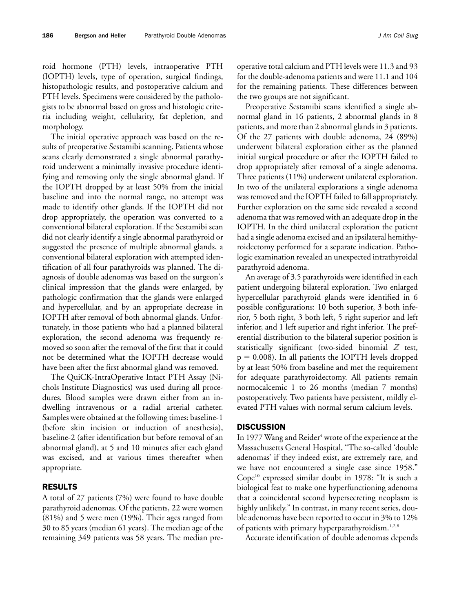roid hormone (PTH) levels, intraoperative PTH (IOPTH) levels, type of operation, surgical findings, histopathologic results, and postoperative calcium and PTH levels. Specimens were considered by the pathologists to be abnormal based on gross and histologic criteria including weight, cellularity, fat depletion, and morphology.

The initial operative approach was based on the results of preoperative Sestamibi scanning. Patients whose scans clearly demonstrated a single abnormal parathyroid underwent a minimally invasive procedure identifying and removing only the single abnormal gland. If the IOPTH dropped by at least 50% from the initial baseline and into the normal range, no attempt was made to identify other glands. If the IOPTH did not drop appropriately, the operation was converted to a conventional bilateral exploration. If the Sestamibi scan did not clearly identify a single abnormal parathyroid or suggested the presence of multiple abnormal glands, a conventional bilateral exploration with attempted identification of all four parathyroids was planned. The diagnosis of double adenomas was based on the surgeon's clinical impression that the glands were enlarged, by pathologic confirmation that the glands were enlarged and hypercellular, and by an appropriate decrease in IOPTH after removal of both abnormal glands. Unfortunately, in those patients who had a planned bilateral exploration, the second adenoma was frequently removed so soon after the removal of the first that it could not be determined what the IOPTH decrease would have been after the first abnormal gland was removed.

The QuiCK-IntraOperative Intact PTH Assay (Nichols Institute Diagnostics) was used during all procedures. Blood samples were drawn either from an indwelling intravenous or a radial arterial catheter. Samples were obtained at the following times: baseline-1 (before skin incision or induction of anesthesia), baseline-2 (after identification but before removal of an abnormal gland), at 5 and 10 minutes after each gland was excised, and at various times thereafter when appropriate.

## RESULTS

A total of 27 patients (7%) were found to have double parathyroid adenomas. Of the patients, 22 were women (81%) and 5 were men (19%). Their ages ranged from 30 to 85 years (median 61 years). The median age of the remaining 349 patients was 58 years. The median preoperative total calcium and PTH levels were 11.3 and 93 for the double-adenoma patients and were 11.1 and 104 for the remaining patients. These differences between the two groups are not significant.

Preoperative Sestamibi scans identified a single abnormal gland in 16 patients, 2 abnormal glands in 8 patients, and more than 2 abnormal glands in 3 patients. Of the 27 patients with double adenoma, 24 (89%) underwent bilateral exploration either as the planned initial surgical procedure or after the IOPTH failed to drop appropriately after removal of a single adenoma. Three patients (11%) underwent unilateral exploration. In two of the unilateral explorations a single adenoma was removed and the IOPTH failed to fall appropriately. Further exploration on the same side revealed a second adenoma that was removed with an adequate drop in the IOPTH. In the third unilateral exploration the patient had a single adenoma excised and an ipsilateral hemithyroidectomy performed for a separate indication. Pathologic examination revealed an unexpected intrathyroidal parathyroid adenoma.

An average of 3.5 parathyroids were identified in each patient undergoing bilateral exploration. Two enlarged hypercellular parathyroid glands were identified in 6 possible configurations: 10 both superior, 3 both inferior, 5 both right, 3 both left, 5 right superior and left inferior, and 1 left superior and right inferior. The preferential distribution to the bilateral superior position is statistically significant (two-sided binomial *Z* test,  $p = 0.008$ ). In all patients the IOPTH levels dropped by at least 50% from baseline and met the requirement for adequate parathyroidectomy. All patients remain normocalcemic 1 to 26 months (median 7 months) postoperatively. Two patients have persistent, mildly elevated PTH values with normal serum calcium levels.

#### **DISCUSSION**

In 1977 Wang and Reider<sup>4</sup> wrote of the experience at the Massachusetts General Hospital, "The so-called 'double adenomas' if they indeed exist, are extremely rare, and we have not encountered a single case since 1958." Cope<sup>10</sup> expressed similar doubt in 1978: "It is such a biological feat to make one hyperfunctioning adenoma that a coincidental second hypersecreting neoplasm is highly unlikely." In contrast, in many recent series, double adenomas have been reported to occur in 3% to 12% of patients with primary hyperparathyroidism.<sup>1,2,8</sup>

Accurate identification of double adenomas depends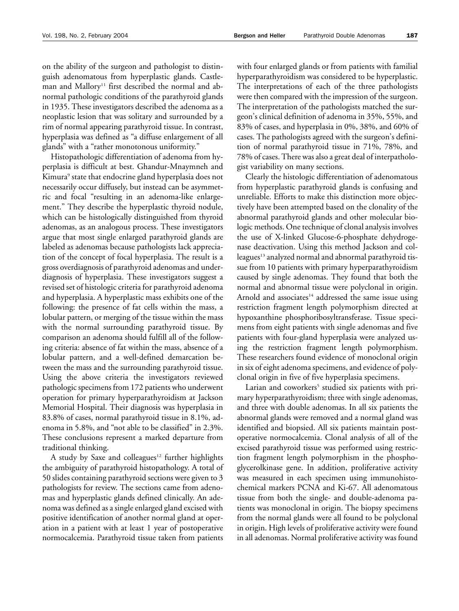on the ability of the surgeon and pathologist to distinguish adenomatous from hyperplastic glands. Castleman and Mallory<sup>11</sup> first described the normal and abnormal pathologic conditions of the parathyroid glands in 1935. These investigators described the adenoma as a neoplastic lesion that was solitary and surrounded by a rim of normal appearing parathyroid tissue. In contrast, hyperplasia was defined as "a diffuse enlargement of all glands" with a "rather monotonous uniformity."

Histopathologic differentiation of adenoma from hyperplasia is difficult at best. Ghandur-Mnaymneh and Kimura<sup>9</sup> state that endocrine gland hyperplasia does not necessarily occur diffusely, but instead can be asymmetric and focal "resulting in an adenoma-like enlargement." They describe the hyperplastic thyroid nodule, which can be histologically distinguished from thyroid adenomas, as an analogous process. These investigators argue that most single enlarged parathyroid glands are labeled as adenomas because pathologists lack appreciation of the concept of focal hyperplasia. The result is a gross overdiagnosis of parathyroid adenomas and underdiagnosis of hyperplasia. These investigators suggest a revised set of histologic criteria for parathyroid adenoma and hyperplasia. A hyperplastic mass exhibits one of the following: the presence of fat cells within the mass, a lobular pattern, or merging of the tissue within the mass with the normal surrounding parathyroid tissue. By comparison an adenoma should fulfill all of the following criteria: absence of fat within the mass, absence of a lobular pattern, and a well-defined demarcation between the mass and the surrounding parathyroid tissue. Using the above criteria the investigators reviewed pathologic specimens from 172 patients who underwent operation for primary hyperparathyroidism at Jackson Memorial Hospital. Their diagnosis was hyperplasia in 83.8% of cases, normal parathyroid tissue in 8.1%, adenoma in 5.8%, and "not able to be classified" in 2.3%. These conclusions represent a marked departure from traditional thinking.

A study by Saxe and colleagues<sup>12</sup> further highlights the ambiguity of parathyroid histopathology. A total of 50 slides containing parathyroid sections were given to 3 pathologists for review. The sections came from adenomas and hyperplastic glands defined clinically. An adenoma was defined as a single enlarged gland excised with positive identification of another normal gland at operation in a patient with at least 1 year of postoperative normocalcemia. Parathyroid tissue taken from patients

with four enlarged glands or from patients with familial hyperparathyroidism was considered to be hyperplastic. The interpretations of each of the three pathologists were then compared with the impression of the surgeon. The interpretation of the pathologists matched the surgeon's clinical definition of adenoma in 35%, 55%, and 83% of cases, and hyperplasia in 0%, 38%, and 60% of cases. The pathologists agreed with the surgeon's definition of normal parathyroid tissue in 71%, 78%, and 78% of cases. There was also a great deal of interpathologist variability on many sections.

Clearly the histologic differentiation of adenomatous from hyperplastic parathyroid glands is confusing and unreliable. Efforts to make this distinction more objectively have been attempted based on the clonality of the abnormal parathyroid glands and other molecular biologic methods. One technique of clonal analysis involves the use of X-linked Glucose-6-phosphate dehydrogenase deactivation. Using this method Jackson and colleagues<sup>13</sup> analyzed normal and abnormal parathyroid tissue from 10 patients with primary hyperparathyroidism caused by single adenomas. They found that both the normal and abnormal tissue were polyclonal in origin. Arnold and associates<sup>14</sup> addressed the same issue using restriction fragment length polymorphism directed at hypoxanthine phosphoribosyltransferase. Tissue specimens from eight patients with single adenomas and five patients with four-gland hyperplasia were analyzed using the restriction fragment length polymorphism. These researchers found evidence of monoclonal origin in six of eight adenoma specimens, and evidence of polyclonal origin in five of five hyperplasia specimens.

Larian and coworkers<sup>5</sup> studied six patients with primary hyperparathyroidism; three with single adenomas, and three with double adenomas. In all six patients the abnormal glands were removed and a normal gland was identified and biopsied. All six patients maintain postoperative normocalcemia. Clonal analysis of all of the excised parathyroid tissue was performed using restriction fragment length polymorphism in the phosphoglycerolkinase gene. In addition, proliferative activity was measured in each specimen using immunohistochemical markers PCNA and Ki-67. All adenomatous tissue from both the single- and double-adenoma patients was monoclonal in origin. The biopsy specimens from the normal glands were all found to be polyclonal in origin. High levels of proliferative activity were found in all adenomas. Normal proliferative activity was found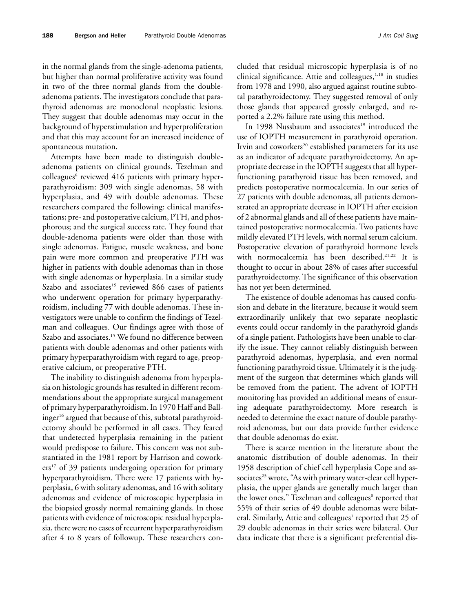in the normal glands from the single-adenoma patients, but higher than normal proliferative activity was found in two of the three normal glands from the doubleadenoma patients. The investigators conclude that parathyroid adenomas are monoclonal neoplastic lesions. They suggest that double adenomas may occur in the background of hyperstimulation and hyperproliferation and that this may account for an increased incidence of spontaneous mutation.

Attempts have been made to distinguish doubleadenoma patients on clinical grounds. Tezelman and colleagues<sup>8</sup> reviewed 416 patients with primary hyperparathyroidism: 309 with single adenomas, 58 with hyperplasia, and 49 with double adenomas. These researchers compared the following: clinical manifestations; pre- and postoperative calcium, PTH, and phosphorous; and the surgical success rate. They found that double-adenoma patients were older than those with single adenomas. Fatigue, muscle weakness, and bone pain were more common and preoperative PTH was higher in patients with double adenomas than in those with single adenomas or hyperplasia. In a similar study Szabo and associates<sup>15</sup> reviewed 866 cases of patients who underwent operation for primary hyperparathyroidism, including 77 with double adenomas. These investigators were unable to confirm the findings of Tezelman and colleagues. Our findings agree with those of Szabo and associates.<sup>15</sup> We found no difference between patients with double adenomas and other patients with primary hyperparathyroidism with regard to age, preoperative calcium, or preoperative PTH.

The inability to distinguish adenoma from hyperplasia on histologic grounds has resulted in different recommendations about the appropriate surgical management of primary hyperparathyroidism. In 1970 Haff and Ballinger<sup>16</sup> argued that because of this, subtotal parathyroidectomy should be performed in all cases. They feared that undetected hyperplasia remaining in the patient would predispose to failure. This concern was not substantiated in the 1981 report by Harrison and cowork $ers<sup>17</sup>$  of 39 patients undergoing operation for primary hyperparathyroidism. There were 17 patients with hyperplasia, 6 with solitary adenomas, and 16 with solitary adenomas and evidence of microscopic hyperplasia in the biopsied grossly normal remaining glands. In those patients with evidence of microscopic residual hyperplasia, there were no cases of recurrent hyperparathyroidism after 4 to 8 years of followup. These researchers concluded that residual microscopic hyperplasia is of no clinical significance. Attie and colleagues, $1,18$  in studies from 1978 and 1990, also argued against routine subtotal parathyroidectomy. They suggested removal of only those glands that appeared grossly enlarged, and reported a 2.2% failure rate using this method.

In 1998 Nussbaum and associates<sup>19</sup> introduced the use of IOPTH measurement in parathyroid operation. Irvin and coworkers<sup>20</sup> established parameters for its use as an indicator of adequate parathyroidectomy. An appropriate decrease in the IOPTH suggests that all hyperfunctioning parathyroid tissue has been removed, and predicts postoperative normocalcemia. In our series of 27 patients with double adenomas, all patients demonstrated an appropriate decrease in IOPTH after excision of 2 abnormal glands and all of these patients have maintained postoperative normocalcemia. Two patients have mildly elevated PTH levels, with normal serum calcium. Postoperative elevation of parathyroid hormone levels with normocalcemia has been described.<sup>21,22</sup> It is thought to occur in about 28% of cases after successful parathyroidectomy. The significance of this observation has not yet been determined.

The existence of double adenomas has caused confusion and debate in the literature, because it would seem extraordinarily unlikely that two separate neoplastic events could occur randomly in the parathyroid glands of a single patient. Pathologists have been unable to clarify the issue. They cannot reliably distinguish between parathyroid adenomas, hyperplasia, and even normal functioning parathyroid tissue. Ultimately it is the judgment of the surgeon that determines which glands will be removed from the patient. The advent of IOPTH monitoring has provided an additional means of ensuring adequate parathyroidectomy. More research is needed to determine the exact nature of double parathyroid adenomas, but our data provide further evidence that double adenomas do exist.

There is scarce mention in the literature about the anatomic distribution of double adenomas. In their 1958 description of chief cell hyperplasia Cope and associates<sup>23</sup> wrote, "As with primary water-clear cell hyperplasia, the upper glands are generally much larger than the lower ones." Tezelman and colleagues<sup>8</sup> reported that 55% of their series of 49 double adenomas were bilateral. Similarly, Attie and colleagues<sup>1</sup> reported that 25 of 29 double adenomas in their series were bilateral. Our data indicate that there is a significant preferential dis